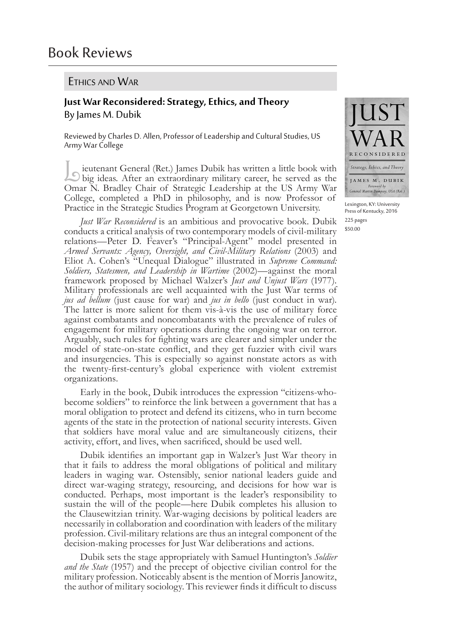## Ethics and War

## **Just War Reconsidered:Strategy,Ethics,and Theory** By James M. Dubik

Reviewed by Charles D. Allen, Professor of Leadership and Cultural Studies, US Army War College

Leutenant General (Ret.) James Dubik has written a little book with big ideas. After an extraordinary military career, he served as the Omar N. Bradley Chair of Strategic Leadership at the US Army War College, completed a PhD in philosophy, and is now Professor of Practice in the Strategic Studies Program at Georgetown University.

*Just War Reconsidered* is an ambitious and provocative book. Dubik conducts a critical analysis of two contemporary models of civil-military relations—Peter D. Feaver's "Principal-Agent" model presented in *Armed Servants: Agency, Oversight, and Civil-Military Relations* (2003) and Eliot A. Cohen's "Unequal Dialogue" illustrated in *Supreme Command: Soldiers, Statesmen, and Leadership in Wartime* (2002)—against the moral framework proposed by Michael Walzer's *Just and Unjust Wars* (1977). Military professionals are well acquainted with the Just War terms of *jus ad bellum* (just cause for war) and *jus in bello* (just conduct in war). The latter is more salient for them vis-à-vis the use of military force against combatants and noncombatants with the prevalence of rules of engagement for military operations during the ongoing war on terror. Arguably, such rules for fighting wars are clearer and simpler under the model of state-on-state conflict, and they get fuzzier with civil wars and insurgencies. This is especially so against nonstate actors as with the twenty-first-century's global experience with violent extremist organizations.

Early in the book, Dubik introduces the expression "citizens-whobecome soldiers" to reinforce the link between a government that has a moral obligation to protect and defend its citizens, who in turn become agents of the state in the protection of national security interests. Given that soldiers have moral value and are simultaneously citizens, their activity, effort, and lives, when sacrificed, should be used well.

Dubik identifies an important gap in Walzer's Just War theory in that it fails to address the moral obligations of political and military leaders in waging war. Ostensibly, senior national leaders guide and direct war-waging strategy, resourcing, and decisions for how war is conducted. Perhaps, most important is the leader's responsibility to sustain the will of the people—here Dubik completes his allusion to the Clausewitzian trinity. War-waging decisions by political leaders are necessarily in collaboration and coordination with leaders of the military profession. Civil-military relations are thus an integral component of the decision-making processes for Just War deliberations and actions.

Dubik sets the stage appropriately with Samuel Huntington's *Soldier and the State* (1957) and the precept of objective civilian control for the military profession. Noticeably absent is the mention of Morris Janowitz, the author of military sociology. This reviewer finds it difficult to discuss



Lexington, KY: University Press of Kentucky, 2016 225 pages \$50.00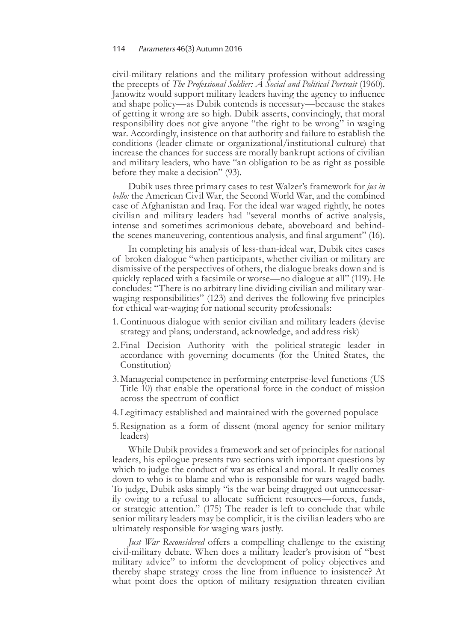civil-military relations and the military profession without addressing the precepts of *The Professional Soldier: A Social and Political Portrait* (1960). Janowitz would support military leaders having the agency to influence and shape policy—as Dubik contends is necessary—because the stakes of getting it wrong are so high. Dubik asserts, convincingly, that moral responsibility does not give anyone "the right to be wrong" in waging war. Accordingly, insistence on that authority and failure to establish the conditions (leader climate or organizational/institutional culture) that increase the chances for success are morally bankrupt actions of civilian and military leaders, who have "an obligation to be as right as possible before they make a decision" (93).

Dubik uses three primary cases to test Walzer's framework for *jus in bello:* the American Civil War, the Second World War, and the combined case of Afghanistan and Iraq. For the ideal war waged rightly, he notes civilian and military leaders had "several months of active analysis, intense and sometimes acrimonious debate, aboveboard and behindthe-scenes maneuvering, contentious analysis, and final argument" (16).

In completing his analysis of less-than-ideal war, Dubik cites cases of broken dialogue "when participants, whether civilian or military are dismissive of the perspectives of others, the dialogue breaks down and is quickly replaced with a facsimile or worse—no dialogue at all" (119). He concludes: "There is no arbitrary line dividing civilian and military warwaging responsibilities" (123) and derives the following five principles for ethical war-waging for national security professionals:

- 1. Continuous dialogue with senior civilian and military leaders (devise strategy and plans; understand, acknowledge, and address risk)
- 2.Final Decision Authority with the political-strategic leader in accordance with governing documents (for the United States, the Constitution)
- 3.Managerial competence in performing enterprise-level functions (US Title 10) that enable the operational force in the conduct of mission across the spectrum of conflict
- 4.Legitimacy established and maintained with the governed populace
- 5.Resignation as a form of dissent (moral agency for senior military leaders)

While Dubik provides a framework and set of principles for national leaders, his epilogue presents two sections with important questions by which to judge the conduct of war as ethical and moral. It really comes down to who is to blame and who is responsible for wars waged badly. To judge, Dubik asks simply "is the war being dragged out unnecessar- ily owing to a refusal to allocate sufficient resources—forces, funds, or strategic attention." (175) The reader is left to conclude that while senior military leaders may be complicit, it is the civilian leaders who are ultimately responsible for waging wars justly.

*Just War Reconsidered* offers a compelling challenge to the existing civil-military debate. When does a military leader's provision of "best military advice" to inform the development of policy objectives and thereby shape strategy cross the line from influence to insistence? At what point does the option of military resignation threaten civilian